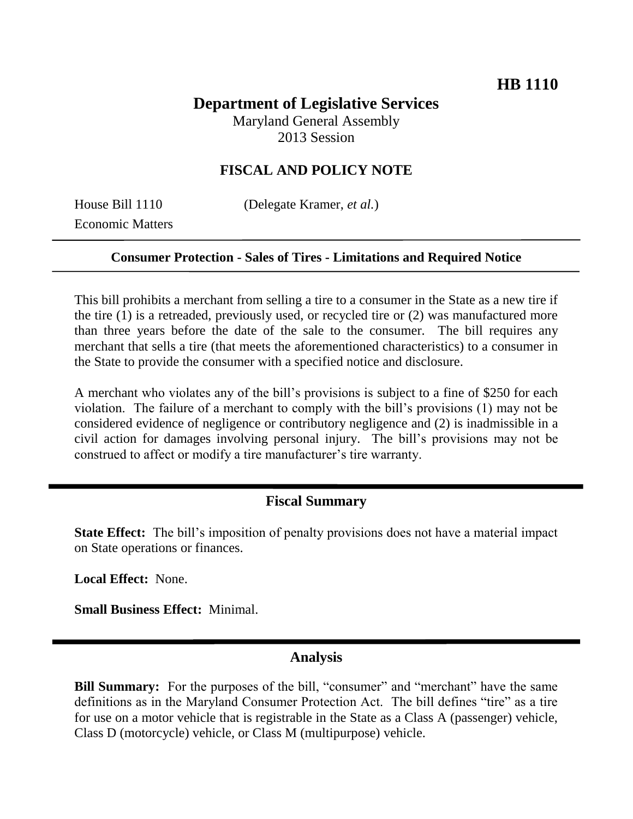# **Department of Legislative Services**

Maryland General Assembly 2013 Session

## **FISCAL AND POLICY NOTE**

Economic Matters

House Bill 1110 (Delegate Kramer, *et al.*)

#### **Consumer Protection - Sales of Tires - Limitations and Required Notice**

This bill prohibits a merchant from selling a tire to a consumer in the State as a new tire if the tire (1) is a retreaded, previously used, or recycled tire or (2) was manufactured more than three years before the date of the sale to the consumer. The bill requires any merchant that sells a tire (that meets the aforementioned characteristics) to a consumer in the State to provide the consumer with a specified notice and disclosure.

A merchant who violates any of the bill's provisions is subject to a fine of \$250 for each violation. The failure of a merchant to comply with the bill's provisions (1) may not be considered evidence of negligence or contributory negligence and (2) is inadmissible in a civil action for damages involving personal injury. The bill's provisions may not be construed to affect or modify a tire manufacturer's tire warranty.

### **Fiscal Summary**

**State Effect:** The bill's imposition of penalty provisions does not have a material impact on State operations or finances.

**Local Effect:** None.

**Small Business Effect:** Minimal.

### **Analysis**

**Bill Summary:** For the purposes of the bill, "consumer" and "merchant" have the same definitions as in the Maryland Consumer Protection Act. The bill defines "tire" as a tire for use on a motor vehicle that is registrable in the State as a Class A (passenger) vehicle, Class D (motorcycle) vehicle, or Class M (multipurpose) vehicle.